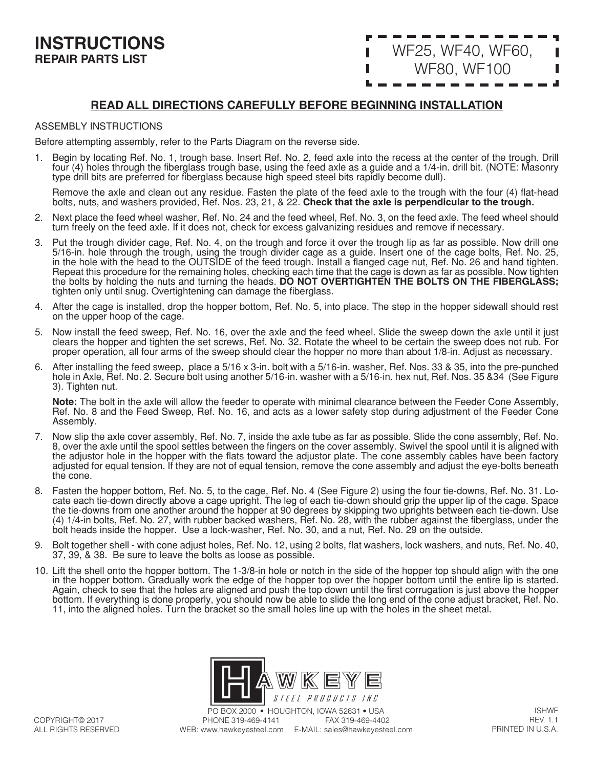# WF25, WF40, WF60, WF80, WF100

# **READ ALL DIRECTIONS CAREFULLY BEFORE BEGINNING INSTALLATION**

#### ASSEMBLY INSTRUCTIONS

Before attempting assembly, refer to the Parts Diagram on the reverse side.

1. Begin by locating Ref. No. 1, trough base. Insert Ref. No. 2, feed axle into the recess at the center of the trough. Drill four (4) holes through the fiberglass trough base, using the feed axle as a guide and a 1/4-in. drill bit. (NOTE: Masonry type drill bits are preferred for fiberglass because high speed steel bits rapidly become dull).

Remove the axle and clean out any residue. Fasten the plate of the feed axle to the trough with the four (4) flat-head bolts, nuts, and washers provided, Ref. Nos. 23, 21, & 22. **Check that the axle is perpendicular to the trough.** 

- 2. Next place the feed wheel washer, Ref. No. 24 and the feed wheel, Ref. No. 3, on the feed axle. The feed wheel should turn freely on the feed axle. If it does not, check for excess galvanizing residues and remove if necessary.
- 3. Put the trough divider cage, Ref. No. 4, on the trough and force it over the trough lip as far as possible. Now drill one 5/16-in. hole through the trough, using the trough divider cage as a guide. Insert one of the cage bolts, Ref. No. 25, in the hole with the head to the OUTSIDE of the feed trough. Install a flanged cage nut, Ref. No. 26 and hand tighten. Repeat this procedure for the remaining holes, checking each time that the cage is down as far as possible. Now tighten the bolts by holding the nuts and turning the heads. **DO NOT OVERTIGHTEN THE BOLTS ON THE FIBERGLASS;**  tighten only until snug. Overtightening can damage the fiberglass.
- 4. After the cage is installed, drop the hopper bottom, Ref. No. 5, into place. The step in the hopper sidewall should rest on the upper hoop of the cage.
- 5. Now install the feed sweep, Ref. No. 16, over the axle and the feed wheel. Slide the sweep down the axle until it just clears the hopper and tighten the set screws, Ref. No. 32. Rotate the wheel to be certain the sweep does not rub. For proper operation, all four arms of the sweep should clear the hopper no more than about 1/8-in. Adjust as necessary.
- 6. After installing the feed sweep, place a 5/16 x 3-in. bolt with a 5/16-in. washer, Ref. Nos. 33 & 35, into the pre-punched hole in Axle, Ref. No. 2. Secure bolt using another 5/16-in. washer with a 5/16-in. hex nut, Ref. Nos. 35 &34 (See Figure 3). Tighten nut.

**Note:** The bolt in the axle will allow the feeder to operate with minimal clearance between the Feeder Cone Assembly, Ref. No. 8 and the Feed Sweep, Ref. No. 16, and acts as a lower safety stop during adjustment of the Feeder Cone Assembly.

- 7. Now slip the axle cover assembly, Ref. No. 7, inside the axle tube as far as possible. Slide the cone assembly, Ref. No. 8, over the axle until the spool settles between the fingers on the cover assembly. Swivel the spool until it is aligned with the adjustor hole in the hopper with the flats toward the adjustor plate. The cone assembly cables have been factory adjusted for equal tension. If they are not of equal tension, remove the cone assembly and adjust the eye-bolts beneath the cone.
- 8. Fasten the hopper bottom, Ref. No. 5, to the cage, Ref. No. 4 (See Figure 2) using the four tie-downs, Ref. No. 31. Locate each tie-down directly above a cage upright. The leg of each tie-down should grip the upper lip of the cage. Space the tie-downs from one another around the hopper at 90 degrees by skipping two uprights between each tie-down. Use (4) 1/4-in bolts, Ref. No. 27, with rubber backed washers, Ref. No. 28, with the rubber against the fiberglass, under the bolt heads inside the hopper. Use a lock-washer, Ref. No. 30, and a nut, Ref. No. 29 on the outside.
- 9. Bolt together shell with cone adjust holes, Ref. No. 12, using 2 bolts, flat washers, lock washers, and nuts, Ref. No. 40, 37, 39, & 38. Be sure to leave the bolts as loose as possible.
- 10. Lift the shell onto the hopper bottom. The 1-3/8-in hole or notch in the side of the hopper top should align with the one in the hopper bottom. Gradually work the edge of the hopper top over the hopper bottom until the entire lip is started. Again, check to see that the holes are aligned and push the top down until the first corrugation is just above the hopper bottom. If everything is done properly, you should now be able to slide the long end of the cone adjust bracket, Ref. No. 11, into the aligned holes. Turn the bracket so the small holes line up with the holes in the sheet metal.

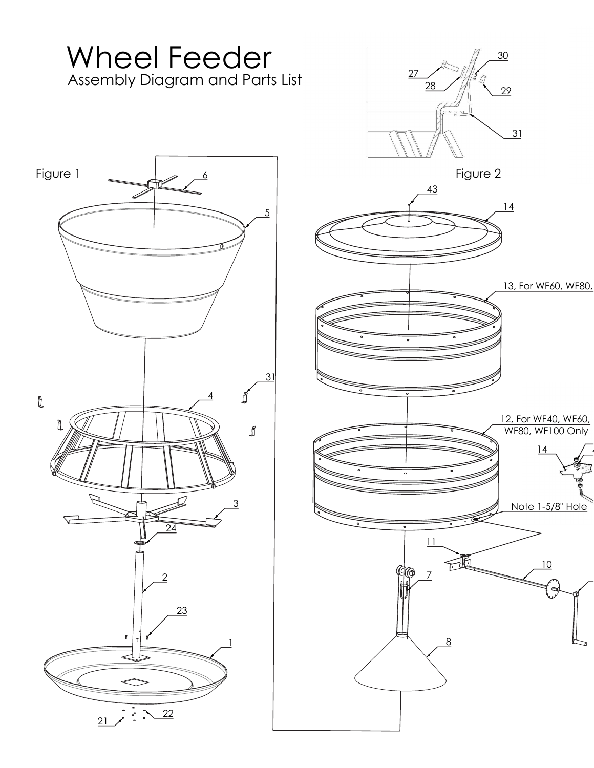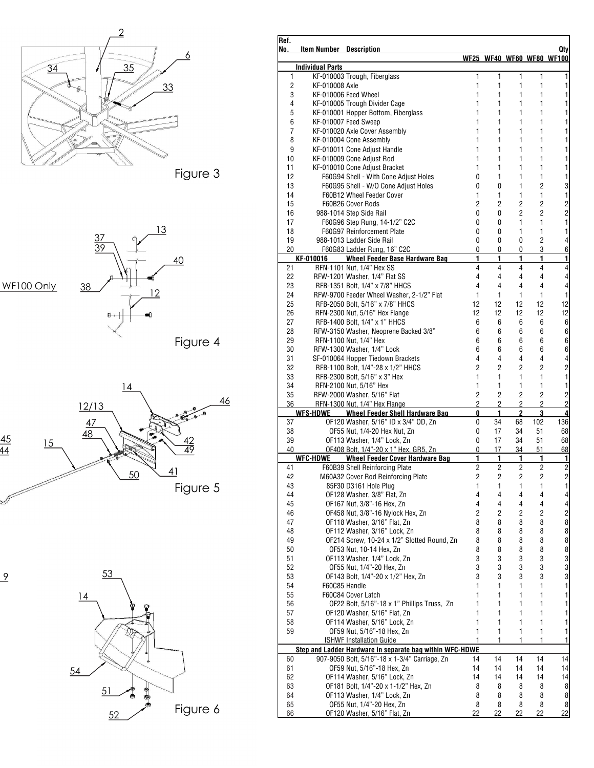

| Ref.<br>No.                                              | <b>Item Number</b> Description |                                                                                 |                         |                |                |                         | Qty                                                |
|----------------------------------------------------------|--------------------------------|---------------------------------------------------------------------------------|-------------------------|----------------|----------------|-------------------------|----------------------------------------------------|
|                                                          |                                |                                                                                 |                         |                |                |                         | WF25 WF40 WF60 WF80 WF100                          |
|                                                          | <b>Individual Parts</b>        |                                                                                 | 1                       | 1              |                | 1                       | 1                                                  |
| 1<br>2                                                   | KF-010008 Axle                 | KF-010003 Trough, Fiberglass                                                    | 1                       | 1              | 1<br>1         | 1                       | 1                                                  |
| 3                                                        |                                | KF-010006 Feed Wheel                                                            | 1                       | 1              | 1              | 1                       | 1                                                  |
| 4                                                        |                                | KF-010005 Trough Divider Cage                                                   | 1                       | 1              | 1              | 1                       | 1                                                  |
| 5                                                        |                                | KF-010001 Hopper Bottom, Fiberglass                                             | 1                       | 1              | 1              | 1                       | 1                                                  |
| 6                                                        |                                | KF-010007 Feed Sweep                                                            | 1                       | 1              | 1              | 1                       | 1                                                  |
| $\overline{7}$                                           |                                | KF-010020 Axle Cover Assembly                                                   | 1                       | 1              | 1              | $\mathbf{1}$            | 1                                                  |
| 8                                                        |                                | KF-010004 Cone Assembly                                                         | 1                       | 1              | 1              | 1                       | 1                                                  |
| 9                                                        |                                | KF-010011 Cone Adjust Handle                                                    | 1                       | 1              | 1              | 1                       | 1                                                  |
| 10                                                       |                                | KF-010009 Cone Adiust Rod                                                       | 1                       | 1              | 1              | $\mathbf{1}$            | 1                                                  |
| 11<br>12                                                 |                                | KF-010010 Cone Adjust Bracket<br>F60G94 Shell - With Cone Adjust Holes          | 1<br>0                  | 1<br>1         | 1<br>1         | 1<br>$\mathbf{1}$       | 1<br>1                                             |
| 13                                                       |                                | F60G95 Shell - W/O Cone Adjust Holes                                            | 0                       | 0              | $\mathbf{1}$   | $\overline{2}$          | 3                                                  |
| 14                                                       |                                | F60B12 Wheel Feeder Cover                                                       | 1                       | 1              | 1              | $\mathbf{1}$            | $\mathbf{1}$                                       |
| 15                                                       |                                | F60B26 Cover Rods                                                               | 2                       | 2              | 2              | $\overline{2}$          |                                                    |
| 16                                                       |                                | 988-1014 Step Side Rail                                                         | 0                       | 0              | 2              | $\overline{2}$          | $\frac{2}{2}$                                      |
| 17                                                       |                                | F60G96 Step Rung, 14-1/2" C2C                                                   | 0                       | 0              | $\mathbf{1}$   | $\mathbf{1}$            | $\mathbf{1}$                                       |
| 18                                                       |                                | F60G97 Reinforcement Plate                                                      | 0                       | 0              | 1              | 1                       | $\mathbf{1}$                                       |
| 19                                                       |                                | 988-1013 Ladder Side Rail                                                       | 0                       | 0              | 0              | $\overline{2}$          | $\overline{\mathbf{4}}$                            |
| 20                                                       |                                | F60G83 Ladder Rung, 16" C2C                                                     | 0                       | 0              | 0              | 3                       | $6\phantom{1}$                                     |
|                                                          | KF-010016                      | <b>Wheel Feeder Base Hardware Bag</b>                                           | 1                       | 1              | 1              | 1                       | $\mathbf{1}$                                       |
| 21<br>22                                                 |                                | RFN-1101 Nut, 1/4" Hex SS<br>RFW-1201 Washer, 1/4" Flat SS                      | 4<br>$\overline{4}$     | 4<br>4         | 4<br>4         | 4<br>4                  | $\overline{\mathbf{4}}$<br>$\overline{\mathbf{4}}$ |
| 23                                                       |                                | RFB-1351 Bolt, 1/4" x 7/8" HHCS                                                 | 4                       | 4              | 4              | 4                       | $\overline{4}$                                     |
| 24                                                       |                                | RFW-9700 Feeder Wheel Washer, 2-1/2" Flat                                       | $\mathbf{1}$            | $\mathbf{1}$   | 1              | $\mathbf{1}$            | $\mathbf{1}$                                       |
| 25                                                       |                                | RFB-2050 Bolt, 5/16" x 7/8" HHCS                                                | 12                      | 12             | 12             | 12                      | 12                                                 |
| 26                                                       |                                | RFN-2300 Nut, 5/16" Hex Flange                                                  | 12                      | 12             | 12             | 12                      | 12                                                 |
| 27                                                       |                                | RFB-1400 Bolt, 1/4" x 1" HHCS                                                   | 6                       | 6              | 6              | 6                       | 6                                                  |
| 28                                                       |                                | RFW-3150 Washer, Neoprene Backed 3/8"                                           | 6                       | 6              | 6              | 6                       | 6                                                  |
| 29                                                       |                                | RFN-1100 Nut, 1/4" Hex                                                          | 6                       | 6              | 6              | 6                       | 6                                                  |
| 30                                                       |                                | RFW-1300 Washer, 1/4" Lock                                                      | 6                       | 6              | 6              | 6                       | $6\phantom{1}$                                     |
| 31                                                       |                                | SF-010064 Hopper Tiedown Brackets                                               | 4                       | 4              | 4              | 4                       | $\overline{\mathbf{r}}$                            |
| 32                                                       |                                | RFB-1100 Bolt, 1/4"-28 x 1/2" HHCS                                              | $\overline{2}$          | $\overline{2}$ | 2              | $\overline{2}$          | $\overline{c}$<br>$\mathbf{1}$                     |
| 33<br>34                                                 |                                | RFB-2300 Bolt, 5/16" x 3" Hex<br>RFN-2100 Nut, 5/16" Hex                        | 1<br>1                  | 1<br>1         | 1<br>1         | 1<br>$\mathbf{1}$       | $\mathbf{1}$                                       |
| 35                                                       |                                | RFW-2000 Washer, 5/16" Flat                                                     | $\overline{2}$          | $\overline{2}$ | 2              | $\overline{c}$          | $\overline{c}$                                     |
| 36                                                       |                                | RFN-1300 Nut, 1/4" Hex Flange                                                   | $\overline{2}$          | 2              | $\overline{2}$ | $\overline{2}$          | $\overline{2}$                                     |
|                                                          |                                | WFS-HDWE Wheel Feeder Shell Hardware Bag                                        | 0                       | 1              | 2              | 3                       | 4                                                  |
| 37                                                       |                                | OF120 Washer, 5/16" ID x 3/4" OD, Zn                                            | 0                       | 34             | 68             | 102                     | 136                                                |
| 38                                                       |                                | OF55 Nut. 1/4-20 Hex Nut. Zn                                                    | 0                       | 17             | 34             | 51                      | 68                                                 |
| 39                                                       |                                | OF113 Washer, 1/4" Lock, Zn                                                     | 0                       | 17             | 34             | 51                      | 68                                                 |
| 40                                                       | <b>WFC-HDWE</b>                | OF408 Bolt, 1/4"-20 x 1" Hex, GR5, Zn<br><b>Wheel Feeder Cover Hardware Bag</b> | 0<br>1                  | 17<br>1        | 34<br>1        | 51<br>1                 | 68<br>1                                            |
| 41                                                       |                                | F60B39 Shell Reinforcing Plate                                                  | $\overline{c}$          | 2              | 2              | 2                       | $\overline{c}$                                     |
| 42                                                       |                                | M60A32 Cover Rod Reinforcing Plate                                              | 2                       | $\overline{c}$ | 2              | $\overline{\mathbf{c}}$ | $\overline{c}$                                     |
| 43                                                       |                                | 85F30 D3161 Hole Plug                                                           | 1                       | 1              | $\mathbf{1}$   | $\mathbf{1}$            | $\mathbf{1}$                                       |
| 44                                                       |                                | OF128 Washer, 3/8" Flat, Zn                                                     | 4                       | 4              | 4              | 4                       | $\overline{4}$                                     |
| 45                                                       |                                | OF167 Nut, 3/8"-16 Hex, Zn                                                      | 4                       | 4              | 4              | 4                       | $\overline{\mathbf{4}}$                            |
| 46                                                       |                                | OF458 Nut, 3/8"-16 Nylock Hex, Zn                                               | $\overline{\mathbf{c}}$ | 2              | 2              | $\overline{c}$          | $\overline{c}$                                     |
| 47                                                       |                                | OF118 Washer, 3/16" Flat, Zn                                                    | 8                       | 8              | 8              | 8                       | 8                                                  |
| 48                                                       |                                | OF112 Washer, 3/16" Lock, Zn                                                    | 8                       | 8              | 8              | 8                       | 8                                                  |
| 49                                                       |                                | OF214 Screw, 10-24 x 1/2" Slotted Round, Zn                                     | 8                       | 8              | 8              | 8                       | 8                                                  |
| 50                                                       |                                | OF53 Nut, 10-14 Hex, Zn                                                         | 8                       | 8              | 8              | 8                       | 8                                                  |
| 51                                                       |                                | OF113 Washer, 1/4" Lock, Zn                                                     | 3<br>3                  | 3<br>3         | 3<br>3         | 3<br>3                  | 3<br>3                                             |
| 52<br>53                                                 |                                | OF55 Nut, 1/4"-20 Hex, Zn<br>OF143 Bolt, 1/4"-20 x 1/2" Hex, Zn                 | 3                       | 3              | 3              | 3                       | 3                                                  |
| 54                                                       | F60C85 Handle                  |                                                                                 | 1                       | 1              | 1              | 1                       | $\mathbf{1}$                                       |
| 55                                                       |                                | F60C84 Cover Latch                                                              | 1                       | 1              | 1              | 1                       | $\mathbf{1}$                                       |
| 56                                                       |                                | OF22 Bolt, 5/16"-18 x 1" Phillips Truss, Zn                                     | 1                       | 1              | 1              | 1                       | 1                                                  |
| 57                                                       |                                | OF120 Washer, 5/16" Flat, Zn                                                    | 1                       | 1              | 1              | 1                       | 1                                                  |
| 58                                                       |                                | OF114 Washer, 5/16" Lock, Zn                                                    | 1                       | 1              | 1              | 1                       | 1                                                  |
| 59                                                       |                                | OF59 Nut, 5/16"-18 Hex, Zn                                                      | 1                       | 1              | 1              | $\mathbf{1}$            | $\mathbf{1}$                                       |
|                                                          |                                | <b>ISHWF Installation Guide</b>                                                 | 1                       | 1              | 1              | 1                       | 1                                                  |
| Step and Ladder Hardware in separate bag within WFC-HDWE |                                |                                                                                 |                         |                |                |                         |                                                    |
| 60                                                       |                                | 907-9050 Bolt, 5/16"-18 x 1-3/4" Carriage, Zn                                   | 14                      | 14             | 14             | 14                      | 14                                                 |
| 61<br>62                                                 |                                | OF59 Nut, 5/16"-18 Hex, Zn<br>OF114 Washer, 5/16" Lock, Zn                      | 14<br>14                | 14             | 14<br>14       | 14<br>14                | 14                                                 |
| 63                                                       |                                | OF181 Bolt, 1/4"-20 x 1-1/2" Hex, Zn                                            | 8                       | 14<br>8        | 8              | 8                       | 14<br>8                                            |
| 64                                                       |                                | OF113 Washer, 1/4" Lock, Zn                                                     | 8                       | 8              | 8              | 8                       | 8                                                  |
| 65                                                       |                                | OF55 Nut, 1/4"-20 Hex, Zn                                                       | 8                       | 8              | 8              | 8                       | 8                                                  |
| 66                                                       |                                | OF120 Washer, 5/16" Flat, Zn                                                    | 22                      | 22             | 22             | 22                      | 22                                                 |